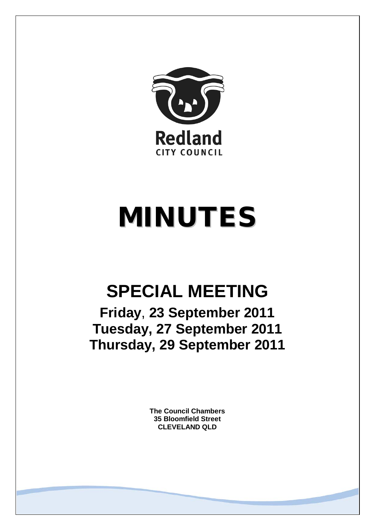

# MINUTES

# **SPECIAL MEETING**

**Friday**, **23 September 2011 Tuesday, 27 September 2011 Thursday, 29 September 2011**

> **The Council Chambers 35 Bloomfield Street CLEVELAND QLD**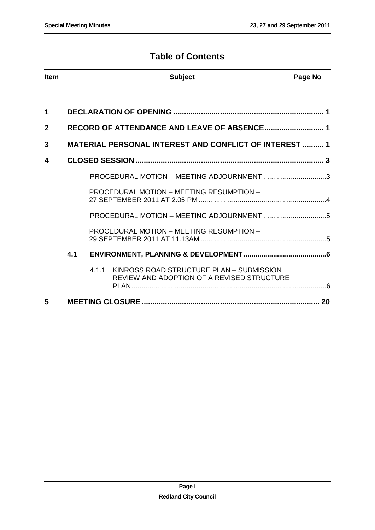# **Table of Contents**

| <b>Item</b>  |     | <b>Subject</b>                                                                                  | Page No |
|--------------|-----|-------------------------------------------------------------------------------------------------|---------|
|              |     |                                                                                                 |         |
| 1            |     |                                                                                                 |         |
| $\mathbf{2}$ |     |                                                                                                 |         |
| 3            |     | <b>MATERIAL PERSONAL INTEREST AND CONFLICT OF INTEREST  1</b>                                   |         |
| 4            |     |                                                                                                 |         |
|              |     | PROCEDURAL MOTION - MEETING ADJOURNMENT 3                                                       |         |
|              |     | PROCEDURAL MOTION - MEETING RESUMPTION -                                                        |         |
|              |     |                                                                                                 |         |
|              |     | PROCEDURAL MOTION - MEETING RESUMPTION -                                                        |         |
|              | 4.1 |                                                                                                 |         |
|              |     | KINROSS ROAD STRUCTURE PLAN - SUBMISSION<br>4.1.1<br>REVIEW AND ADOPTION OF A REVISED STRUCTURE |         |
| 5            |     |                                                                                                 |         |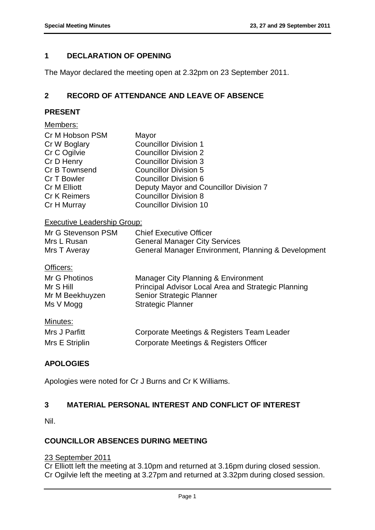# <span id="page-2-0"></span>**1 DECLARATION OF OPENING**

<span id="page-2-1"></span>The Mayor declared the meeting open at 2.32pm on 23 September 2011.

# **2 RECORD OF ATTENDANCE AND LEAVE OF ABSENCE**

#### **PRESENT**

| Members:                           |                                                     |
|------------------------------------|-----------------------------------------------------|
| Cr M Hobson PSM                    | Mayor                                               |
| Cr W Boglary                       | <b>Councillor Division 1</b>                        |
| Cr C Ogilvie                       | <b>Councillor Division 2</b>                        |
| Cr D Henry                         | <b>Councillor Division 3</b>                        |
| Cr B Townsend                      | <b>Councillor Division 5</b>                        |
| Cr T Bowler                        | <b>Councillor Division 6</b>                        |
| Cr M Elliott                       | Deputy Mayor and Councillor Division 7              |
| <b>Cr K Reimers</b>                | <b>Councillor Division 8</b>                        |
| Cr H Murray                        | <b>Councillor Division 10</b>                       |
| <b>Executive Leadership Group:</b> |                                                     |
| Mr G Stevenson PSM                 | <b>Chief Executive Officer</b>                      |
| Mrs L Rusan                        | <b>General Manager City Services</b>                |
| Mrs T Averay                       | General Manager Environment, Planning & Development |
| Officers:                          |                                                     |
| Mr G Photinos                      | Manager City Planning & Environment                 |
| Mr S Hill                          | Principal Advisor Local Area and Strategic Planning |
| Mr M Beekhuyzen                    | Senior Strategic Planner                            |
| Ms V Mogg                          | <b>Strategic Planner</b>                            |
| <u>Minutes:</u>                    |                                                     |
| Mrs J Parfitt                      |                                                     |
|                                    | Corporate Meetings & Registers Team Leader          |
| Mrs E Striplin                     | Corporate Meetings & Registers Officer              |

# **APOLOGIES**

<span id="page-2-2"></span>Apologies were noted for Cr J Burns and Cr K Williams.

# **3 MATERIAL PERSONAL INTEREST AND CONFLICT OF INTEREST**

Nil.

#### **COUNCILLOR ABSENCES DURING MEETING**

# 23 September 2011

Cr Elliott left the meeting at 3.10pm and returned at 3.16pm during closed session. Cr Ogilvie left the meeting at 3.27pm and returned at 3.32pm during closed session.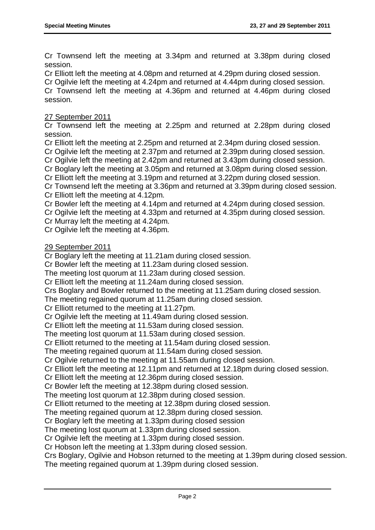Cr Townsend left the meeting at 3.34pm and returned at 3.38pm during closed session.

Cr Elliott left the meeting at 4.08pm and returned at 4.29pm during closed session.

Cr Ogilvie left the meeting at 4.24pm and returned at 4.44pm during closed session.

Cr Townsend left the meeting at 4.36pm and returned at 4.46pm during closed session.

#### 27 September 2011

Cr Townsend left the meeting at 2.25pm and returned at 2.28pm during closed session.

Cr Elliott left the meeting at 2.25pm and returned at 2.34pm during closed session.

Cr Ogilvie left the meeting at 2.37pm and returned at 2.39pm during closed session.

Cr Ogilvie left the meeting at 2.42pm and returned at 3.43pm during closed session.

Cr Boglary left the meeting at 3.05pm and returned at 3.08pm during closed session.

Cr Elliott left the meeting at 3.19pm and returned at 3.22pm during closed session.

Cr Townsend left the meeting at 3.36pm and returned at 3.39pm during closed session. Cr Elliott left the meeting at 4.12pm.

Cr Bowler left the meeting at 4.14pm and returned at 4.24pm during closed session.

Cr Ogilvie left the meeting at 4.33pm and returned at 4.35pm during closed session.

Cr Murray left the meeting at 4.24pm.

Cr Ogilvie left the meeting at 4.36pm.

#### 29 September 2011

Cr Boglary left the meeting at 11.21am during closed session.

Cr Bowler left the meeting at 11.23am during closed session.

The meeting lost quorum at 11.23am during closed session.

Cr Elliott left the meeting at 11.24am during closed session.

Crs Boglary and Bowler returned to the meeting at 11.25am during closed session.

The meeting regained quorum at 11.25am during closed session.

Cr Elliott returned to the meeting at 11.27pm.

Cr Ogilvie left the meeting at 11.49am during closed session.

Cr Elliott left the meeting at 11.53am during closed session.

The meeting lost quorum at 11.53am during closed session.

Cr Elliott returned to the meeting at 11.54am during closed session.

The meeting regained quorum at 11.54am during closed session.

Cr Ogilvie returned to the meeting at 11.55am during closed session.

Cr Elliott left the meeting at 12.11pm and returned at 12.18pm during closed session.

Cr Elliott left the meeting at 12.36pm during closed session.

Cr Bowler left the meeting at 12.38pm during closed session.

The meeting lost quorum at 12.38pm during closed session.

Cr Elliott returned to the meeting at 12.38pm during closed session.

The meeting regained quorum at 12.38pm during closed session.

Cr Boglary left the meeting at 1.33pm during closed session

The meeting lost quorum at 1.33pm during closed session.

Cr Ogilvie left the meeting at 1.33pm during closed session.

Cr Hobson left the meeting at 1.33pm during closed session.

Crs Boglary, Ogilvie and Hobson returned to the meeting at 1.39pm during closed session. The meeting regained quorum at 1.39pm during closed session.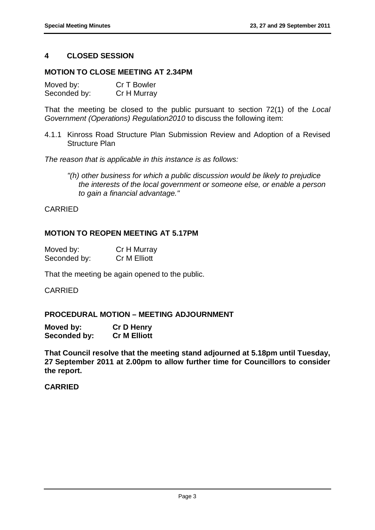# <span id="page-4-0"></span>**4 CLOSED SESSION**

#### **MOTION TO CLOSE MEETING AT 2.34PM**

| Moved by:    | Cr T Bowler |
|--------------|-------------|
| Seconded by: | Cr H Murray |

That the meeting be closed to the public pursuant to section 72(1) of the *Local Government (Operations) Regulation2010* to discuss the following item:

4.1.1 Kinross Road Structure Plan Submission Review and Adoption of a Revised Structure Plan

*The reason that is applicable in this instance is as follows:*

*"(h) other business for which a public discussion would be likely to prejudice the interests of the local government or someone else, or enable a person to gain a financial advantage."*

#### CARRIED

#### **MOTION TO REOPEN MEETING AT 5.17PM**

| Moved by:    | Cr H Murray  |
|--------------|--------------|
| Seconded by: | Cr M Elliott |

That the meeting be again opened to the public.

#### CARRIED

# <span id="page-4-1"></span>**PROCEDURAL MOTION – MEETING ADJOURNMENT**

| Moved by:    | <b>Cr D Henry</b>   |
|--------------|---------------------|
| Seconded by: | <b>Cr M Elliott</b> |

**That Council resolve that the meeting stand adjourned at 5.18pm until Tuesday, 27 September 2011 at 2.00pm to allow further time for Councillors to consider the report.**

#### **CARRIED**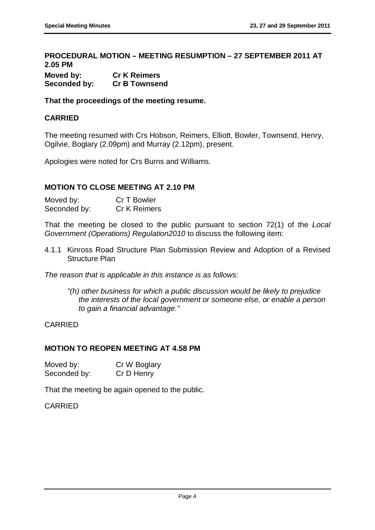# <span id="page-5-0"></span>**PROCEDURAL MOTION – MEETING RESUMPTION – 27 SEPTEMBER 2011 AT 2.05 PM**

| Moved by:    | <b>Cr K Reimers</b>  |
|--------------|----------------------|
| Seconded by: | <b>Cr B Townsend</b> |

**That the proceedings of the meeting resume.**

# **CARRIED**

The meeting resumed with Crs Hobson, Reimers, Elliott, Bowler, Townsend, Henry, Ogilvie, Boglary (2.09pm) and Murray (2.12pm), present.

Apologies were noted for Crs Burns and Williams.

#### **MOTION TO CLOSE MEETING AT 2.10 PM**

| Moved by:    | Cr T Bowler         |
|--------------|---------------------|
| Seconded by: | <b>Cr K Reimers</b> |

That the meeting be closed to the public pursuant to section 72(1) of the *Local Government (Operations) Regulation2010* to discuss the following item:

4.1.1 Kinross Road Structure Plan Submission Review and Adoption of a Revised Structure Plan

*The reason that is applicable in this instance is as follows:*

*"(h) other business for which a public discussion would be likely to prejudice the interests of the local government or someone else, or enable a person to gain a financial advantage."*

#### CARRIED

### **MOTION TO REOPEN MEETING AT 4.58 PM**

| Moved by:    | Cr W Boglary |
|--------------|--------------|
| Seconded by: | Cr D Henry   |

That the meeting be again opened to the public.

#### CARRIED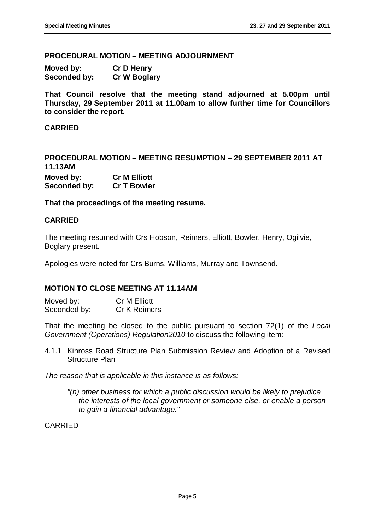#### <span id="page-6-0"></span>**PROCEDURAL MOTION – MEETING ADJOURNMENT**

| Moved by:    | <b>Cr D Henry</b>   |
|--------------|---------------------|
| Seconded by: | <b>Cr W Boglary</b> |

**That Council resolve that the meeting stand adjourned at 5.00pm until Thursday, 29 September 2011 at 11.00am to allow further time for Councillors to consider the report.**

#### **CARRIED**

<span id="page-6-1"></span>**PROCEDURAL MOTION – MEETING RESUMPTION – 29 SEPTEMBER 2011 AT 11.13AM Moved by: Cr M Elliott Seconded by: Cr T Bowler**

**That the proceedings of the meeting resume.**

#### **CARRIED**

The meeting resumed with Crs Hobson, Reimers, Elliott, Bowler, Henry, Ogilvie, Boglary present.

Apologies were noted for Crs Burns, Williams, Murray and Townsend.

#### **MOTION TO CLOSE MEETING AT 11.14AM**

Moved by: Cr M Elliott Seconded by: Cr K Reimers

That the meeting be closed to the public pursuant to section 72(1) of the *Local Government (Operations) Regulation2010* to discuss the following item:

4.1.1 Kinross Road Structure Plan Submission Review and Adoption of a Revised Structure Plan

*The reason that is applicable in this instance is as follows:*

*"(h) other business for which a public discussion would be likely to prejudice the interests of the local government or someone else, or enable a person to gain a financial advantage."*

CARRIED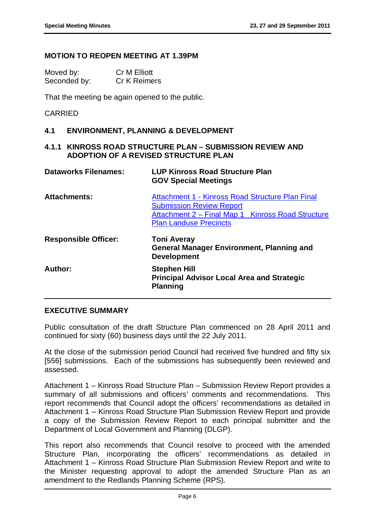#### **MOTION TO REOPEN MEETING AT 1.39PM**

| Moved by:    | Cr M Elliott        |
|--------------|---------------------|
| Seconded by: | <b>Cr K Reimers</b> |

That the meeting be again opened to the public.

#### CARRIED

#### <span id="page-7-0"></span>**4.1 ENVIRONMENT, PLANNING & DEVELOPMENT**

#### <span id="page-7-1"></span>**4.1.1 KINROSS ROAD STRUCTURE PLAN – SUBMISSION REVIEW AND ADOPTION OF A REVISED STRUCTURE PLAN**

| <b>Dataworks Filenames:</b> | <b>LUP Kinross Road Structure Plan</b><br><b>GOV Special Meetings</b>                                                                                                     |  |
|-----------------------------|---------------------------------------------------------------------------------------------------------------------------------------------------------------------------|--|
| <b>Attachments:</b>         | Attachment 1 - Kinross Road Structure Plan Final<br><b>Submission Review Report</b><br>Attachment 2 – Final Map 1 Kinross Road Structure<br><b>Plan Landuse Precincts</b> |  |
| <b>Responsible Officer:</b> | <b>Toni Averay</b><br><b>General Manager Environment, Planning and</b><br><b>Development</b>                                                                              |  |
| Author:                     | <b>Stephen Hill</b><br><b>Principal Advisor Local Area and Strategic</b><br><b>Planning</b>                                                                               |  |

#### **EXECUTIVE SUMMARY**

Public consultation of the draft Structure Plan commenced on 28 April 2011 and continued for sixty (60) business days until the 22 July 2011.

At the close of the submission period Council had received five hundred and fifty six [556] submissions. Each of the submissions has subsequently been reviewed and assessed.

Attachment 1 – Kinross Road Structure Plan – Submission Review Report provides a summary of all submissions and officers' comments and recommendations. This report recommends that Council adopt the officers' recommendations as detailed in Attachment 1 – Kinross Road Structure Plan Submission Review Report and provide a copy of the Submission Review Report to each principal submitter and the Department of Local Government and Planning (DLGP).

This report also recommends that Council resolve to proceed with the amended Structure Plan, incorporating the officers' recommendations as detailed in Attachment 1 – Kinross Road Structure Plan Submission Review Report and write to the Minister requesting approval to adopt the amended Structure Plan as an amendment to the Redlands Planning Scheme (RPS).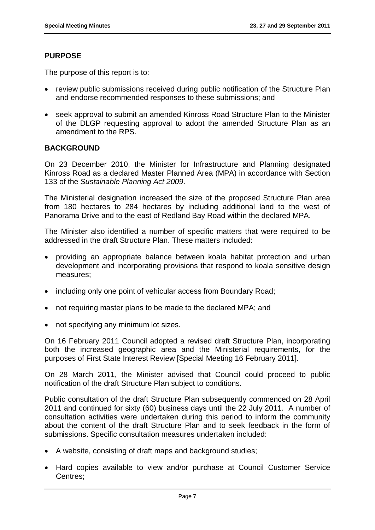# **PURPOSE**

The purpose of this report is to:

- review public submissions received during public notification of the Structure Plan and endorse recommended responses to these submissions; and
- seek approval to submit an amended Kinross Road Structure Plan to the Minister of the DLGP requesting approval to adopt the amended Structure Plan as an amendment to the RPS.

# **BACKGROUND**

On 23 December 2010, the Minister for Infrastructure and Planning designated Kinross Road as a declared Master Planned Area (MPA) in accordance with Section 133 of the *Sustainable Planning Act 2009*.

The Ministerial designation increased the size of the proposed Structure Plan area from 180 hectares to 284 hectares by including additional land to the west of Panorama Drive and to the east of Redland Bay Road within the declared MPA.

The Minister also identified a number of specific matters that were required to be addressed in the draft Structure Plan. These matters included:

- providing an appropriate balance between koala habitat protection and urban development and incorporating provisions that respond to koala sensitive design measures;
- including only one point of vehicular access from Boundary Road;
- not requiring master plans to be made to the declared MPA; and
- not specifying any minimum lot sizes.

On 16 February 2011 Council adopted a revised draft Structure Plan, incorporating both the increased geographic area and the Ministerial requirements, for the purposes of First State Interest Review [Special Meeting 16 February 2011].

On 28 March 2011, the Minister advised that Council could proceed to public notification of the draft Structure Plan subject to conditions.

Public consultation of the draft Structure Plan subsequently commenced on 28 April 2011 and continued for sixty (60) business days until the 22 July 2011. A number of consultation activities were undertaken during this period to inform the community about the content of the draft Structure Plan and to seek feedback in the form of submissions. Specific consultation measures undertaken included:

- A website, consisting of draft maps and background studies;
- Hard copies available to view and/or purchase at Council Customer Service Centres;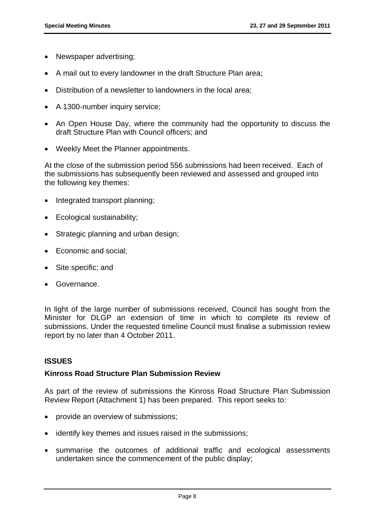- Newspaper advertising;
- A mail out to every landowner in the draft Structure Plan area;
- Distribution of a newsletter to landowners in the local area;
- A 1300-number inquiry service;
- An Open House Day, where the community had the opportunity to discuss the draft Structure Plan with Council officers; and
- Weekly Meet the Planner appointments.

At the close of the submission period 556 submissions had been received. Each of the submissions has subsequently been reviewed and assessed and grouped into the following key themes:

- Integrated transport planning;
- Ecological sustainability;
- Strategic planning and urban design;
- Economic and social;
- Site specific; and
- Governance.

In light of the large number of submissions received, Council has sought from the Minister for DLGP an extension of time in which to complete its review of submissions. Under the requested timeline Council must finalise a submission review report by no later than 4 October 2011.

#### **ISSUES**

#### **Kinross Road Structure Plan Submission Review**

As part of the review of submissions the Kinross Road Structure Plan Submission Review Report (Attachment 1) has been prepared. This report seeks to:

- provide an overview of submissions;
- identify key themes and issues raised in the submissions;
- summarise the outcomes of additional traffic and ecological assessments undertaken since the commencement of the public display;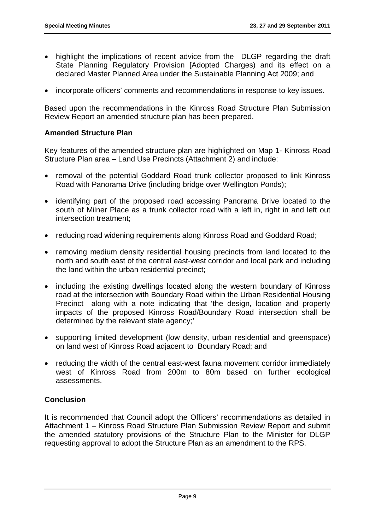- highlight the implications of recent advice from the DLGP regarding the draft State Planning Regulatory Provision [Adopted Charges) and its effect on a declared Master Planned Area under the Sustainable Planning Act 2009; and
- incorporate officers' comments and recommendations in response to key issues.

Based upon the recommendations in the Kinross Road Structure Plan Submission Review Report an amended structure plan has been prepared.

#### **Amended Structure Plan**

Key features of the amended structure plan are highlighted on Map 1- Kinross Road Structure Plan area – Land Use Precincts (Attachment 2) and include:

- removal of the potential Goddard Road trunk collector proposed to link Kinross Road with Panorama Drive (including bridge over Wellington Ponds);
- identifying part of the proposed road accessing Panorama Drive located to the south of Milner Place as a trunk collector road with a left in, right in and left out intersection treatment;
- reducing road widening requirements along Kinross Road and Goddard Road;
- removing medium density residential housing precincts from land located to the north and south east of the central east-west corridor and local park and including the land within the urban residential precinct;
- including the existing dwellings located along the western boundary of Kinross road at the intersection with Boundary Road within the Urban Residential Housing Precinct along with a note indicating that 'the design, location and property impacts of the proposed Kinross Road/Boundary Road intersection shall be determined by the relevant state agency;'
- supporting limited development (low density, urban residential and greenspace) on land west of Kinross Road adjacent to Boundary Road; and
- reducing the width of the central east-west fauna movement corridor immediately west of Kinross Road from 200m to 80m based on further ecological assessments.

# **Conclusion**

It is recommended that Council adopt the Officers' recommendations as detailed in Attachment 1 – Kinross Road Structure Plan Submission Review Report and submit the amended statutory provisions of the Structure Plan to the Minister for DLGP requesting approval to adopt the Structure Plan as an amendment to the RPS.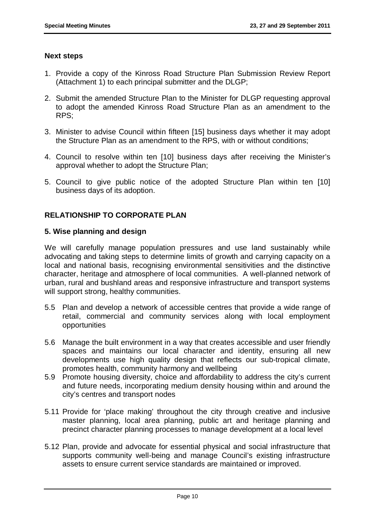#### **Next steps**

- 1. Provide a copy of the Kinross Road Structure Plan Submission Review Report (Attachment 1) to each principal submitter and the DLGP;
- 2. Submit the amended Structure Plan to the Minister for DLGP requesting approval to adopt the amended Kinross Road Structure Plan as an amendment to the RPS;
- 3. Minister to advise Council within fifteen [15] business days whether it may adopt the Structure Plan as an amendment to the RPS, with or without conditions;
- 4. Council to resolve within ten [10] business days after receiving the Minister's approval whether to adopt the Structure Plan;
- 5. Council to give public notice of the adopted Structure Plan within ten [10] business days of its adoption.

# **RELATIONSHIP TO CORPORATE PLAN**

#### **5. Wise planning and design**

We will carefully manage population pressures and use land sustainably while advocating and taking steps to determine limits of growth and carrying capacity on a local and national basis, recognising environmental sensitivities and the distinctive character, heritage and atmosphere of local communities. A well-planned network of urban, rural and bushland areas and responsive infrastructure and transport systems will support strong, healthy communities.

- 5.5 Plan and develop a network of accessible centres that provide a wide range of retail, commercial and community services along with local employment opportunities
- 5.6 Manage the built environment in a way that creates accessible and user friendly spaces and maintains our local character and identity, ensuring all new developments use high quality design that reflects our sub-tropical climate, promotes health, community harmony and wellbeing
- 5.9 Promote housing diversity, choice and affordability to address the city's current and future needs, incorporating medium density housing within and around the city's centres and transport nodes
- 5.11 Provide for 'place making' throughout the city through creative and inclusive master planning, local area planning, public art and heritage planning and precinct character planning processes to manage development at a local level
- 5.12 Plan, provide and advocate for essential physical and social infrastructure that supports community well-being and manage Council's existing infrastructure assets to ensure current service standards are maintained or improved.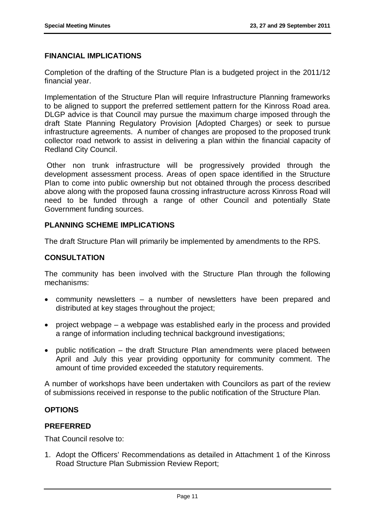# **FINANCIAL IMPLICATIONS**

Completion of the drafting of the Structure Plan is a budgeted project in the 2011/12 financial year.

Implementation of the Structure Plan will require Infrastructure Planning frameworks to be aligned to support the preferred settlement pattern for the Kinross Road area. DLGP advice is that Council may pursue the maximum charge imposed through the draft State Planning Regulatory Provision [Adopted Charges) or seek to pursue infrastructure agreements. A number of changes are proposed to the proposed trunk collector road network to assist in delivering a plan within the financial capacity of Redland City Council.

Other non trunk infrastructure will be progressively provided through the development assessment process. Areas of open space identified in the Structure Plan to come into public ownership but not obtained through the process described above along with the proposed fauna crossing infrastructure across Kinross Road will need to be funded through a range of other Council and potentially State Government funding sources.

# **PLANNING SCHEME IMPLICATIONS**

The draft Structure Plan will primarily be implemented by amendments to the RPS.

# **CONSULTATION**

The community has been involved with the Structure Plan through the following mechanisms:

- community newsletters a number of newsletters have been prepared and distributed at key stages throughout the project;
- project webpage a webpage was established early in the process and provided a range of information including technical background investigations;
- public notification the draft Structure Plan amendments were placed between April and July this year providing opportunity for community comment. The amount of time provided exceeded the statutory requirements.

A number of workshops have been undertaken with Councilors as part of the review of submissions received in response to the public notification of the Structure Plan.

# **OPTIONS**

#### **PREFERRED**

That Council resolve to:

1. Adopt the Officers' Recommendations as detailed in Attachment 1 of the Kinross Road Structure Plan Submission Review Report;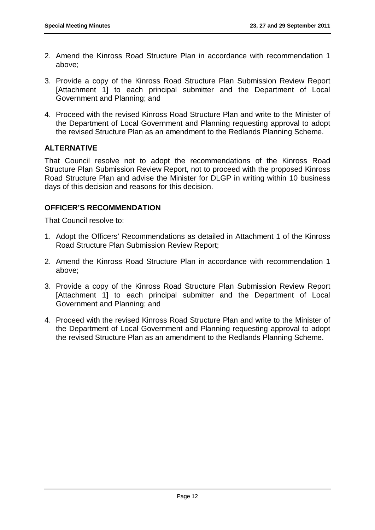- 2. Amend the Kinross Road Structure Plan in accordance with recommendation 1 above;
- 3. Provide a copy of the Kinross Road Structure Plan Submission Review Report [Attachment 1] to each principal submitter and the Department of Local Government and Planning; and
- 4. Proceed with the revised Kinross Road Structure Plan and write to the Minister of the Department of Local Government and Planning requesting approval to adopt the revised Structure Plan as an amendment to the Redlands Planning Scheme.

# **ALTERNATIVE**

That Council resolve not to adopt the recommendations of the Kinross Road Structure Plan Submission Review Report, not to proceed with the proposed Kinross Road Structure Plan and advise the Minister for DLGP in writing within 10 business days of this decision and reasons for this decision.

# **OFFICER'S RECOMMENDATION**

That Council resolve to:

- 1. Adopt the Officers' Recommendations as detailed in Attachment 1 of the Kinross Road Structure Plan Submission Review Report;
- 2. Amend the Kinross Road Structure Plan in accordance with recommendation 1 above;
- 3. Provide a copy of the Kinross Road Structure Plan Submission Review Report [Attachment 1] to each principal submitter and the Department of Local Government and Planning; and
- 4. Proceed with the revised Kinross Road Structure Plan and write to the Minister of the Department of Local Government and Planning requesting approval to adopt the revised Structure Plan as an amendment to the Redlands Planning Scheme.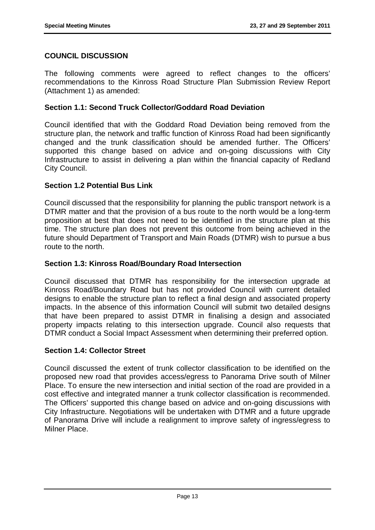# **COUNCIL DISCUSSION**

The following comments were agreed to reflect changes to the officers' recommendations to the Kinross Road Structure Plan Submission Review Report (Attachment 1) as amended:

### **Section 1.1: Second Truck Collector/Goddard Road Deviation**

Council identified that with the Goddard Road Deviation being removed from the structure plan, the network and traffic function of Kinross Road had been significantly changed and the trunk classification should be amended further. The Officers' supported this change based on advice and on-going discussions with City Infrastructure to assist in delivering a plan within the financial capacity of Redland City Council.

# **Section 1.2 Potential Bus Link**

Council discussed that the responsibility for planning the public transport network is a DTMR matter and that the provision of a bus route to the north would be a long-term proposition at best that does not need to be identified in the structure plan at this time. The structure plan does not prevent this outcome from being achieved in the future should Department of Transport and Main Roads (DTMR) wish to pursue a bus route to the north.

# **Section 1.3: Kinross Road/Boundary Road Intersection**

Council discussed that DTMR has responsibility for the intersection upgrade at Kinross Road/Boundary Road but has not provided Council with current detailed designs to enable the structure plan to reflect a final design and associated property impacts. In the absence of this information Council will submit two detailed designs that have been prepared to assist DTMR in finalising a design and associated property impacts relating to this intersection upgrade. Council also requests that DTMR conduct a Social Impact Assessment when determining their preferred option.

#### **Section 1.4: Collector Street**

Council discussed the extent of trunk collector classification to be identified on the proposed new road that provides access/egress to Panorama Drive south of Milner Place. To ensure the new intersection and initial section of the road are provided in a cost effective and integrated manner a trunk collector classification is recommended. The Officers' supported this change based on advice and on-going discussions with City Infrastructure. Negotiations will be undertaken with DTMR and a future upgrade of Panorama Drive will include a realignment to improve safety of ingress/egress to Milner Place.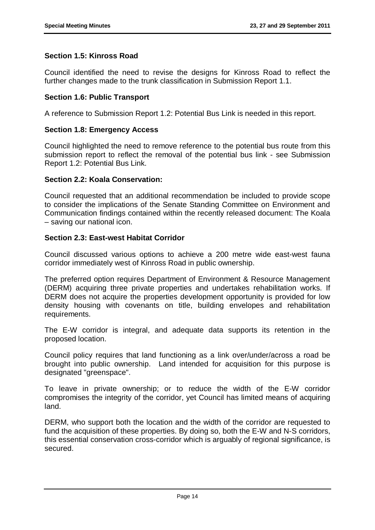# **Section 1.5: Kinross Road**

Council identified the need to revise the designs for Kinross Road to reflect the further changes made to the trunk classification in Submission Report 1.1.

#### **Section 1.6: Public Transport**

A reference to Submission Report 1.2: Potential Bus Link is needed in this report.

#### **Section 1.8: Emergency Access**

Council highlighted the need to remove reference to the potential bus route from this submission report to reflect the removal of the potential bus link - see Submission Report 1.2: Potential Bus Link.

#### **Section 2.2: Koala Conservation:**

Council requested that an additional recommendation be included to provide scope to consider the implications of the Senate Standing Committee on Environment and Communication findings contained within the recently released document: The Koala – saving our national icon.

#### **Section 2.3: East-west Habitat Corridor**

Council discussed various options to achieve a 200 metre wide east-west fauna corridor immediately west of Kinross Road in public ownership.

The preferred option requires Department of Environment & Resource Management (DERM) acquiring three private properties and undertakes rehabilitation works. If DERM does not acquire the properties development opportunity is provided for low density housing with covenants on title, building envelopes and rehabilitation requirements.

The E-W corridor is integral, and adequate data supports its retention in the proposed location.

Council policy requires that land functioning as a link over/under/across a road be brought into public ownership. Land intended for acquisition for this purpose is designated "greenspace".

To leave in private ownership; or to reduce the width of the E-W corridor compromises the integrity of the corridor, yet Council has limited means of acquiring land.

DERM, who support both the location and the width of the corridor are requested to fund the acquisition of these properties. By doing so, both the E-W and N-S corridors, this essential conservation cross-corridor which is arguably of regional significance, is secured.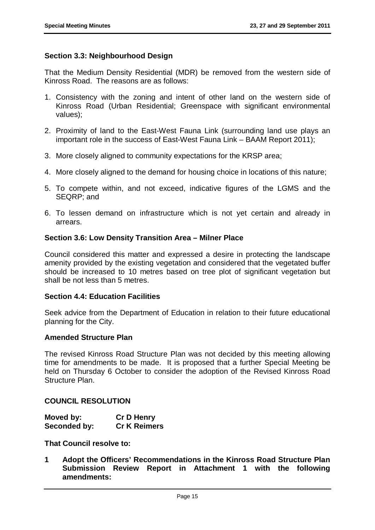# **Section 3.3: Neighbourhood Design**

That the Medium Density Residential (MDR) be removed from the western side of Kinross Road. The reasons are as follows:

- 1. Consistency with the zoning and intent of other land on the western side of Kinross Road (Urban Residential; Greenspace with significant environmental values);
- 2. Proximity of land to the East-West Fauna Link (surrounding land use plays an important role in the success of East-West Fauna Link – BAAM Report 2011);
- 3. More closely aligned to community expectations for the KRSP area;
- 4. More closely aligned to the demand for housing choice in locations of this nature;
- 5. To compete within, and not exceed, indicative figures of the LGMS and the SEQRP; and
- 6. To lessen demand on infrastructure which is not yet certain and already in arrears.

#### **Section 3.6: Low Density Transition Area – Milner Place**

Council considered this matter and expressed a desire in protecting the landscape amenity provided by the existing vegetation and considered that the vegetated buffer should be increased to 10 metres based on tree plot of significant vegetation but shall be not less than 5 metres.

#### **Section 4.4: Education Facilities**

Seek advice from the Department of Education in relation to their future educational planning for the City.

#### **Amended Structure Plan**

The revised Kinross Road Structure Plan was not decided by this meeting allowing time for amendments to be made. It is proposed that a further Special Meeting be held on Thursday 6 October to consider the adoption of the Revised Kinross Road Structure Plan.

#### **COUNCIL RESOLUTION**

| Moved by:    | <b>Cr D Henry</b>   |
|--------------|---------------------|
| Seconded by: | <b>Cr K Reimers</b> |

**That Council resolve to:**

**1 Adopt the Officers' Recommendations in the Kinross Road Structure Plan Submission Review Report in Attachment 1 with the following amendments:**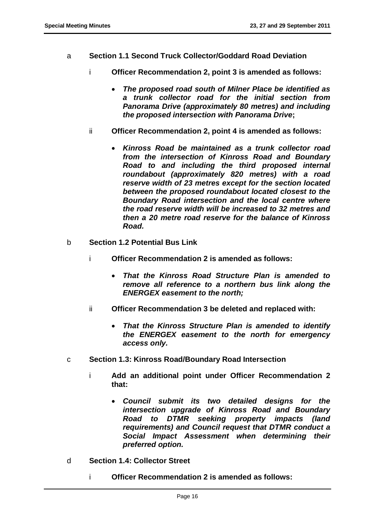- a **Section 1.1 Second Truck Collector/Goddard Road Deviation** 
	- i **Officer Recommendation 2, point 3 is amended as follows:** 
		- *The proposed road south of Milner Place be identified as a trunk collector road for the initial section from Panorama Drive (approximately 80 metres) and including the proposed intersection with Panorama Drive***;**
	- ii **Officer Recommendation 2, point 4 is amended as follows:** 
		- *Kinross Road be maintained as a trunk collector road from the intersection of Kinross Road and Boundary Road to and including the third proposed internal roundabout (approximately 820 metres) with a road reserve width of 23 metres except for the section located between the proposed roundabout located closest to the Boundary Road intersection and the local centre where the road reserve width will be increased to 32 metres and then a 20 metre road reserve for the balance of Kinross Road.*
- b **Section 1.2 Potential Bus Link** 
	- i **Officer Recommendation 2 is amended as follows:** 
		- *That the Kinross Road Structure Plan is amended to remove all reference to a northern bus link along the ENERGEX easement to the north;*
	- ii **Officer Recommendation 3 be deleted and replaced with:** 
		- *That the Kinross Structure Plan is amended to identify the ENERGEX easement to the north for emergency access only.*
- c **Section 1.3: Kinross Road/Boundary Road Intersection**
	- i **Add an additional point under Officer Recommendation 2 that:** 
		- *Council submit its two detailed designs for the intersection upgrade of Kinross Road and Boundary Road to DTMR seeking property impacts (land requirements) and Council request that DTMR conduct a Social Impact Assessment when determining their preferred option.*
- d **Section 1.4: Collector Street**
	- i **Officer Recommendation 2 is amended as follows:**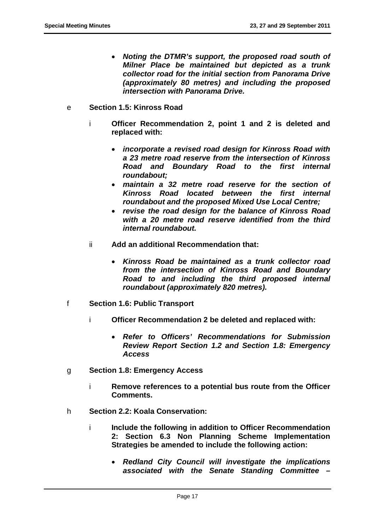- *Noting the DTMR's support, the proposed road south of Milner Place be maintained but depicted as a trunk collector road for the initial section from Panorama Drive (approximately 80 metres) and including the proposed intersection with Panorama Drive.*
- e **Section 1.5: Kinross Road**
	- i **Officer Recommendation 2, point 1 and 2 is deleted and replaced with:** 
		- *incorporate a revised road design for Kinross Road with a 23 metre road reserve from the intersection of Kinross Road and Boundary Road to the first internal roundabout;*
		- *maintain a 32 metre road reserve for the section of Kinross Road located between the first internal roundabout and the proposed Mixed Use Local Centre;*
		- *revise the road design for the balance of Kinross Road with a 20 metre road reserve identified from the third internal roundabout.*
	- ii **Add an additional Recommendation that:** 
		- *Kinross Road be maintained as a trunk collector road from the intersection of Kinross Road and Boundary Road to and including the third proposed internal roundabout (approximately 820 metres).*
- f **Section 1.6: Public Transport**
	- i **Officer Recommendation 2 be deleted and replaced with:** 
		- *Refer to Officers' Recommendations for Submission Review Report Section 1.2 and Section 1.8: Emergency Access*
- g **Section 1.8: Emergency Access**
	- i **Remove references to a potential bus route from the Officer Comments.**
- h **Section 2.2: Koala Conservation:**
	- i **Include the following in addition to Officer Recommendation 2: Section 6.3 Non Planning Scheme Implementation Strategies be amended to include the following action:** 
		- *Redland City Council will investigate the implications associated with the Senate Standing Committee –*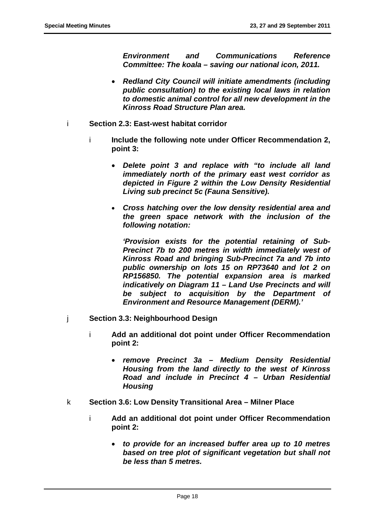*Environment and Communications Reference Committee: The koala – saving our national icon, 2011.*

- *Redland City Council will initiate amendments (including public consultation) to the existing local laws in relation to domestic animal control for all new development in the Kinross Road Structure Plan area.*
- i **Section 2.3: East-west habitat corridor**
	- i **Include the following note under Officer Recommendation 2, point 3:**
		- *Delete point 3 and replace with "to include all land immediately north of the primary east west corridor as depicted in Figure 2 within the Low Density Residential Living sub precinct 5c (Fauna Sensitive).*
		- *Cross hatching over the low density residential area and the green space network with the inclusion of the following notation:*

*'Provision exists for the potential retaining of Sub-Precinct 7b to 200 metres in width immediately west of Kinross Road and bringing Sub-Precinct 7a and 7b into public ownership on lots 15 on RP73640 and lot 2 on RP156850. The potential expansion area is marked indicatively on Diagram 11 – Land Use Precincts and will be subject to acquisition by the Department of Environment and Resource Management (DERM).'*

- j **Section 3.3: Neighbourhood Design**
	- i **Add an additional dot point under Officer Recommendation point 2:**
		- *remove Precinct 3a – Medium Density Residential Housing from the land directly to the west of Kinross Road and include in Precinct 4 – Urban Residential Housing*
- k **Section 3.6: Low Density Transitional Area – Milner Place**
	- i **Add an additional dot point under Officer Recommendation point 2:**
		- *to provide for an increased buffer area up to 10 metres based on tree plot of significant vegetation but shall not be less than 5 metres.*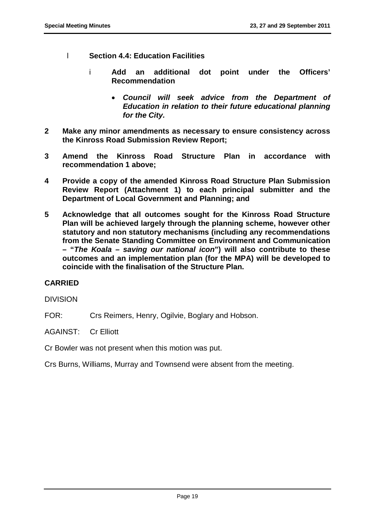- l **Section 4.4: Education Facilities**
	- i **Add an additional dot point under the Officers' Recommendation**
		- *Council will seek advice from the Department of Education in relation to their future educational planning for the City.*
- **2 Make any minor amendments as necessary to ensure consistency across the Kinross Road Submission Review Report;**
- **3 Amend the Kinross Road Structure Plan in accordance with recommendation 1 above;**
- **4 Provide a copy of the amended Kinross Road Structure Plan Submission Review Report (Attachment 1) to each principal submitter and the Department of Local Government and Planning; and**
- **5 Acknowledge that all outcomes sought for the Kinross Road Structure Plan will be achieved largely through the planning scheme, however other statutory and non statutory mechanisms (including any recommendations from the Senate Standing Committee on Environment and Communication – "***The Koala – saving our national icon***") will also contribute to these outcomes and an implementation plan (for the MPA) will be developed to coincide with the finalisation of the Structure Plan.**

# **CARRIED**

#### DIVISION

FOR: Crs Reimers, Henry, Ogilvie, Boglary and Hobson.

AGAINST: Cr Elliott

Cr Bowler was not present when this motion was put.

<span id="page-20-0"></span>Crs Burns, Williams, Murray and Townsend were absent from the meeting.